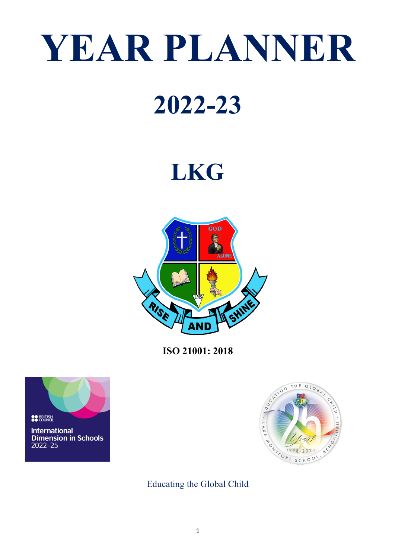# **YEAR PLANNER**

# **2022-23**

# **LKG**



**ISO 21001: 2018**





Educating the Global Child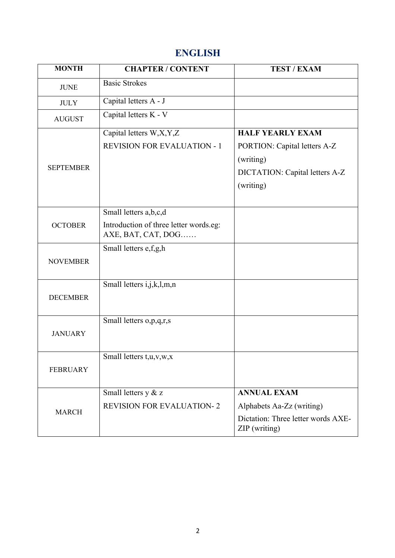## **ENGLISH**

| <b>MONTH</b>     | <b>CHAPTER / CONTENT</b>                                     | <b>TEST / EXAM</b>                                  |
|------------------|--------------------------------------------------------------|-----------------------------------------------------|
| <b>JUNE</b>      | <b>Basic Strokes</b>                                         |                                                     |
| <b>JULY</b>      | Capital letters A - J                                        |                                                     |
| <b>AUGUST</b>    | Capital letters K - V                                        |                                                     |
|                  | Capital letters W,X,Y,Z                                      | <b>HALF YEARLY EXAM</b>                             |
|                  | <b>REVISION FOR EVALUATION - 1</b>                           | PORTION: Capital letters A-Z                        |
|                  |                                                              | (writing)                                           |
| <b>SEPTEMBER</b> |                                                              | DICTATION: Capital letters A-Z                      |
|                  |                                                              | (writing)                                           |
|                  |                                                              |                                                     |
| <b>OCTOBER</b>   | Small letters a,b,c,d                                        |                                                     |
|                  | Introduction of three letter words.eg:<br>AXE, BAT, CAT, DOG |                                                     |
|                  | Small letters e,f,g,h                                        |                                                     |
| <b>NOVEMBER</b>  |                                                              |                                                     |
|                  |                                                              |                                                     |
| <b>DECEMBER</b>  | Small letters i,j,k,l,m,n                                    |                                                     |
|                  |                                                              |                                                     |
|                  | Small letters o,p,q,r,s                                      |                                                     |
| <b>JANUARY</b>   |                                                              |                                                     |
|                  |                                                              |                                                     |
|                  | Small letters t, u, v, w, x                                  |                                                     |
| <b>FEBRUARY</b>  |                                                              |                                                     |
| <b>MARCH</b>     | Small letters y & z                                          | <b>ANNUAL EXAM</b>                                  |
|                  | <b>REVISION FOR EVALUATION-2</b>                             | Alphabets Aa-Zz (writing)                           |
|                  |                                                              | Dictation: Three letter words AXE-<br>ZIP (writing) |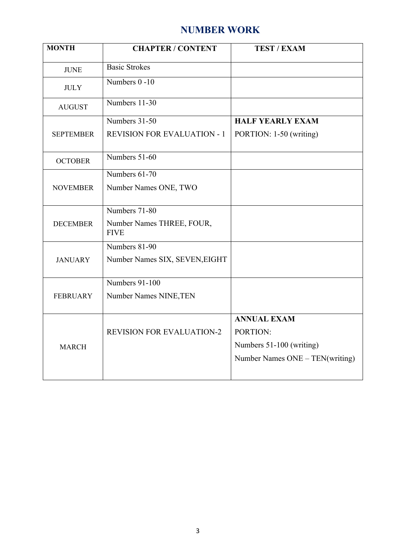### **NUMBER WORK**

| <b>MONTH</b>     | <b>CHAPTER / CONTENT</b>                 | <b>TEST / EXAM</b>              |
|------------------|------------------------------------------|---------------------------------|
| <b>JUNE</b>      | <b>Basic Strokes</b>                     |                                 |
| <b>JULY</b>      | Numbers 0-10                             |                                 |
| <b>AUGUST</b>    | Numbers 11-30                            |                                 |
|                  | Numbers 31-50                            | <b>HALF YEARLY EXAM</b>         |
| <b>SEPTEMBER</b> | <b>REVISION FOR EVALUATION - 1</b>       | PORTION: 1-50 (writing)         |
| <b>OCTOBER</b>   | Numbers 51-60                            |                                 |
|                  | Numbers 61-70                            |                                 |
| <b>NOVEMBER</b>  | Number Names ONE, TWO                    |                                 |
|                  | Numbers 71-80                            |                                 |
| <b>DECEMBER</b>  | Number Names THREE, FOUR,<br><b>FIVE</b> |                                 |
|                  | Numbers 81-90                            |                                 |
| <b>JANUARY</b>   | Number Names SIX, SEVEN, EIGHT           |                                 |
|                  | Numbers 91-100                           |                                 |
| <b>FEBRUARY</b>  | Number Names NINE, TEN                   |                                 |
|                  |                                          | <b>ANNUAL EXAM</b>              |
|                  | <b>REVISION FOR EVALUATION-2</b>         | PORTION:                        |
| <b>MARCH</b>     |                                          | Numbers 51-100 (writing)        |
|                  |                                          | Number Names ONE - TEN(writing) |
|                  |                                          |                                 |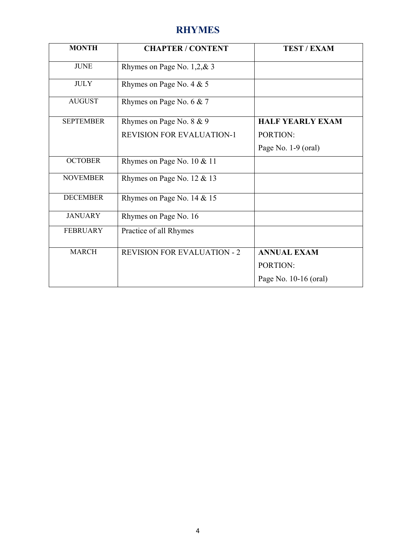### **RHYMES**

| <b>MONTH</b>     | <b>CHAPTER / CONTENT</b>           | <b>TEST / EXAM</b>      |
|------------------|------------------------------------|-------------------------|
| <b>JUNE</b>      | Rhymes on Page No. $1,2,8,3$       |                         |
| <b>JULY</b>      | Rhymes on Page No. 4 & 5           |                         |
| <b>AUGUST</b>    | Rhymes on Page No. 6 & 7           |                         |
| <b>SEPTEMBER</b> | Rhymes on Page No. 8 & 9           | <b>HALF YEARLY EXAM</b> |
|                  | <b>REVISION FOR EVALUATION-1</b>   | PORTION:                |
|                  |                                    | Page No. 1-9 (oral)     |
| <b>OCTOBER</b>   | Rhymes on Page No. 10 & 11         |                         |
| <b>NOVEMBER</b>  | Rhymes on Page No. 12 & 13         |                         |
| <b>DECEMBER</b>  | Rhymes on Page No. 14 & 15         |                         |
| <b>JANUARY</b>   | Rhymes on Page No. 16              |                         |
| <b>FEBRUARY</b>  | Practice of all Rhymes             |                         |
| <b>MARCH</b>     | <b>REVISION FOR EVALUATION - 2</b> | <b>ANNUAL EXAM</b>      |
|                  |                                    | PORTION:                |
|                  |                                    | Page No. 10-16 (oral)   |